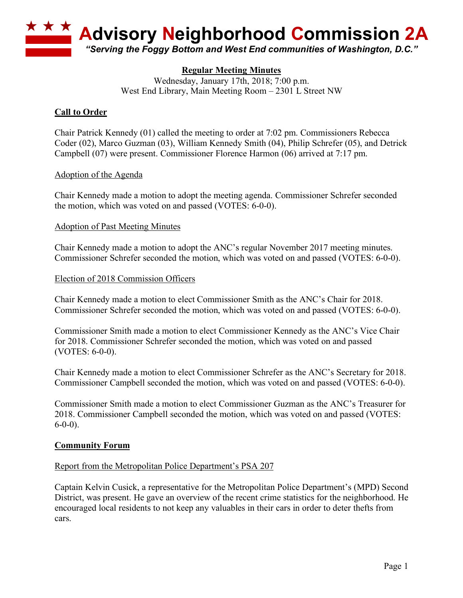

# **Regular Meeting Minutes**

Wednesday, January 17th, 2018; 7:00 p.m. West End Library, Main Meeting Room – 2301 L Street NW

### **Call to Order**

Chair Patrick Kennedy (01) called the meeting to order at 7:02 pm. Commissioners Rebecca Coder (02), Marco Guzman (03), William Kennedy Smith (04), Philip Schrefer (05), and Detrick Campbell (07) were present. Commissioner Florence Harmon (06) arrived at 7:17 pm.

#### Adoption of the Agenda

Chair Kennedy made a motion to adopt the meeting agenda. Commissioner Schrefer seconded the motion, which was voted on and passed (VOTES: 6-0-0).

#### Adoption of Past Meeting Minutes

Chair Kennedy made a motion to adopt the ANC's regular November 2017 meeting minutes. Commissioner Schrefer seconded the motion, which was voted on and passed (VOTES: 6-0-0).

#### Election of 2018 Commission Officers

Chair Kennedy made a motion to elect Commissioner Smith as the ANC's Chair for 2018. Commissioner Schrefer seconded the motion, which was voted on and passed (VOTES: 6-0-0).

Commissioner Smith made a motion to elect Commissioner Kennedy as the ANC's Vice Chair for 2018. Commissioner Schrefer seconded the motion, which was voted on and passed (VOTES: 6-0-0).

Chair Kennedy made a motion to elect Commissioner Schrefer as the ANC's Secretary for 2018. Commissioner Campbell seconded the motion, which was voted on and passed (VOTES: 6-0-0).

Commissioner Smith made a motion to elect Commissioner Guzman as the ANC's Treasurer for 2018. Commissioner Campbell seconded the motion, which was voted on and passed (VOTES:  $6-0-0$ ).

### **Community Forum**

#### Report from the Metropolitan Police Department's PSA 207

Captain Kelvin Cusick, a representative for the Metropolitan Police Department's (MPD) Second District, was present. He gave an overview of the recent crime statistics for the neighborhood. He encouraged local residents to not keep any valuables in their cars in order to deter thefts from cars.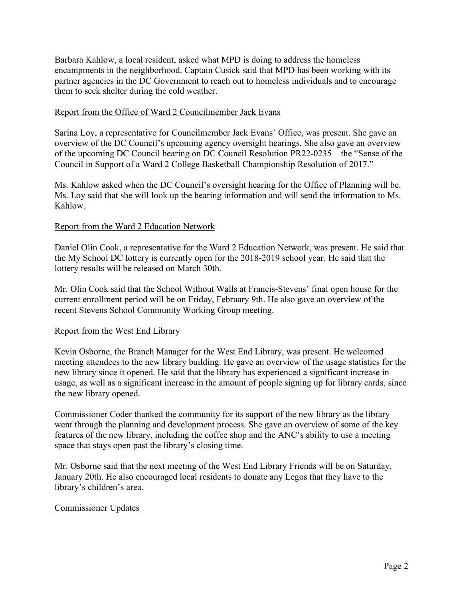Barbara Kahlow, a local resident, asked what MPD is doing to address the homeless encampments in the neighborhood. Captain Cusick said that MPD has been working with its partner agencies in the DC Government to reach out to homeless individuals and to encourage them to seek shelter during the cold weather.

### Report from the Office of Ward 2 Councilmember Jack Evans

Sarina Loy, a representative for Councilmember Jack Evans' Office, was present. She gave an overview of the DC Council's upcoming agency oversight hearings. She also gave an overview of the upcoming DC Council hearing on DC Council Resolution PR22-0235 – the "Sense of the Council in Support of a Ward 2 College Basketball Championship Resolution of 2017."

Ms. Kahlow asked when the DC Council's oversight hearing for the Office of Planning will be. Ms. Loy said that she will look up the hearing information and will send the information to Ms. Kahlow.

### Report from the Ward 2 Education Network

Daniel Olin Cook, a representative for the Ward 2 Education Network, was present. He said that the My School DC lottery is currently open for the 2018-2019 school year. He said that the lottery results will be released on March 30th.

Mr. Olin Cook said that the School Without Walls at Francis-Stevens' final open house for the current enrollment period will be on Friday, February 9th. He also gave an overview of the recent Stevens School Community Working Group meeting.

#### Report from the West End Library

Kevin Osborne, the Branch Manager for the West End Library, was present. He welcomed meeting attendees to the new library building. He gave an overview of the usage statistics for the new library since it opened. He said that the library has experienced a significant increase in usage, as well as a significant increase in the amount of people signing up for library cards, since the new library opened.

Commissioner Coder thanked the community for its support of the new library as the library went through the planning and development process. She gave an overview of some of the key features of the new library, including the coffee shop and the ANC's ability to use a meeting space that stays open past the library's closing time.

Mr. Osborne said that the next meeting of the West End Library Friends will be on Saturday, January 20th. He also encouraged local residents to donate any Legos that they have to the library's children's area.

## Commissioner Updates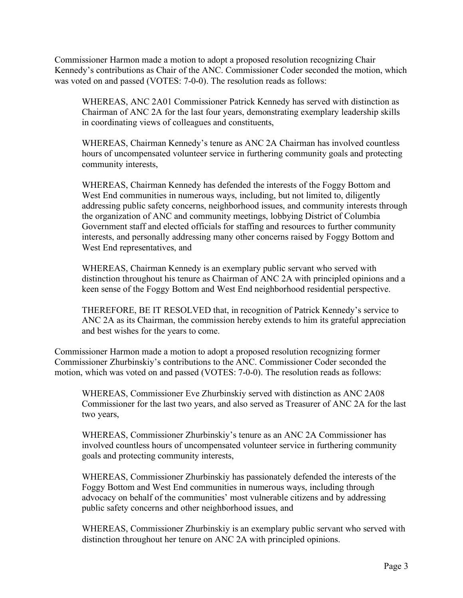Commissioner Harmon made a motion to adopt a proposed resolution recognizing Chair Kennedy's contributions as Chair of the ANC. Commissioner Coder seconded the motion, which was voted on and passed (VOTES: 7-0-0). The resolution reads as follows:

WHEREAS, ANC 2A01 Commissioner Patrick Kennedy has served with distinction as Chairman of ANC 2A for the last four years, demonstrating exemplary leadership skills in coordinating views of colleagues and constituents,

WHEREAS, Chairman Kennedy's tenure as ANC 2A Chairman has involved countless hours of uncompensated volunteer service in furthering community goals and protecting community interests,

WHEREAS, Chairman Kennedy has defended the interests of the Foggy Bottom and West End communities in numerous ways, including, but not limited to, diligently addressing public safety concerns, neighborhood issues, and community interests through the organization of ANC and community meetings, lobbying District of Columbia Government staff and elected officials for staffing and resources to further community interests, and personally addressing many other concerns raised by Foggy Bottom and West End representatives, and

WHEREAS, Chairman Kennedy is an exemplary public servant who served with distinction throughout his tenure as Chairman of ANC 2A with principled opinions and a keen sense of the Foggy Bottom and West End neighborhood residential perspective.

THEREFORE, BE IT RESOLVED that, in recognition of Patrick Kennedy's service to ANC 2A as its Chairman, the commission hereby extends to him its grateful appreciation and best wishes for the years to come.

Commissioner Harmon made a motion to adopt a proposed resolution recognizing former Commissioner Zhurbinskiy's contributions to the ANC. Commissioner Coder seconded the motion, which was voted on and passed (VOTES: 7-0-0). The resolution reads as follows:

WHEREAS, Commissioner Eve Zhurbinskiy served with distinction as ANC 2A08 Commissioner for the last two years, and also served as Treasurer of ANC 2A for the last two years,

WHEREAS, Commissioner Zhurbinskiy's tenure as an ANC 2A Commissioner has involved countless hours of uncompensated volunteer service in furthering community goals and protecting community interests,

WHEREAS, Commissioner Zhurbinskiy has passionately defended the interests of the Foggy Bottom and West End communities in numerous ways, including through advocacy on behalf of the communities' most vulnerable citizens and by addressing public safety concerns and other neighborhood issues, and

WHEREAS, Commissioner Zhurbinskiy is an exemplary public servant who served with distinction throughout her tenure on ANC 2A with principled opinions.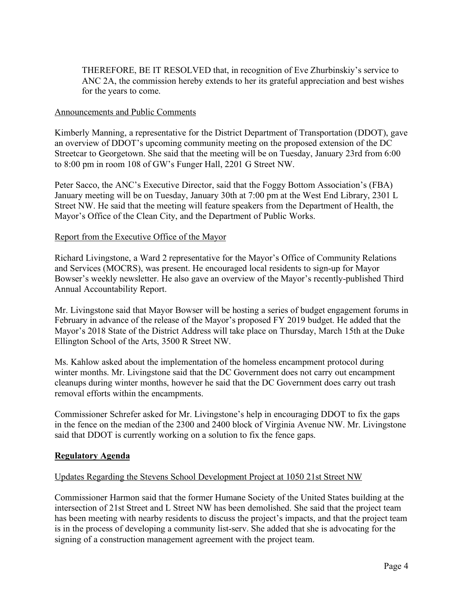THEREFORE, BE IT RESOLVED that, in recognition of Eve Zhurbinskiy's service to ANC 2A, the commission hereby extends to her its grateful appreciation and best wishes for the years to come.

### Announcements and Public Comments

Kimberly Manning, a representative for the District Department of Transportation (DDOT), gave an overview of DDOT's upcoming community meeting on the proposed extension of the DC Streetcar to Georgetown. She said that the meeting will be on Tuesday, January 23rd from 6:00 to 8:00 pm in room 108 of GW's Funger Hall, 2201 G Street NW.

Peter Sacco, the ANC's Executive Director, said that the Foggy Bottom Association's (FBA) January meeting will be on Tuesday, January 30th at 7:00 pm at the West End Library, 2301 L Street NW. He said that the meeting will feature speakers from the Department of Health, the Mayor's Office of the Clean City, and the Department of Public Works.

#### Report from the Executive Office of the Mayor

Richard Livingstone, a Ward 2 representative for the Mayor's Office of Community Relations and Services (MOCRS), was present. He encouraged local residents to sign-up for Mayor Bowser's weekly newsletter. He also gave an overview of the Mayor's recently-published Third Annual Accountability Report.

Mr. Livingstone said that Mayor Bowser will be hosting a series of budget engagement forums in February in advance of the release of the Mayor's proposed FY 2019 budget. He added that the Mayor's 2018 State of the District Address will take place on Thursday, March 15th at the Duke Ellington School of the Arts, 3500 R Street NW.

Ms. Kahlow asked about the implementation of the homeless encampment protocol during winter months. Mr. Livingstone said that the DC Government does not carry out encampment cleanups during winter months, however he said that the DC Government does carry out trash removal efforts within the encampments.

Commissioner Schrefer asked for Mr. Livingstone's help in encouraging DDOT to fix the gaps in the fence on the median of the 2300 and 2400 block of Virginia Avenue NW. Mr. Livingstone said that DDOT is currently working on a solution to fix the fence gaps.

#### **Regulatory Agenda**

#### Updates Regarding the Stevens School Development Project at 1050 21st Street NW

Commissioner Harmon said that the former Humane Society of the United States building at the intersection of 21st Street and L Street NW has been demolished. She said that the project team has been meeting with nearby residents to discuss the project's impacts, and that the project team is in the process of developing a community list-serv. She added that she is advocating for the signing of a construction management agreement with the project team.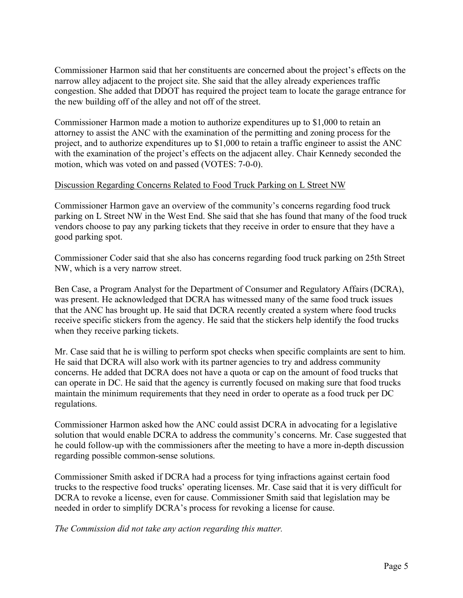Commissioner Harmon said that her constituents are concerned about the project's effects on the narrow alley adjacent to the project site. She said that the alley already experiences traffic congestion. She added that DDOT has required the project team to locate the garage entrance for the new building off of the alley and not off of the street.

Commissioner Harmon made a motion to authorize expenditures up to \$1,000 to retain an attorney to assist the ANC with the examination of the permitting and zoning process for the project, and to authorize expenditures up to \$1,000 to retain a traffic engineer to assist the ANC with the examination of the project's effects on the adjacent alley. Chair Kennedy seconded the motion, which was voted on and passed (VOTES: 7-0-0).

### Discussion Regarding Concerns Related to Food Truck Parking on L Street NW

Commissioner Harmon gave an overview of the community's concerns regarding food truck parking on L Street NW in the West End. She said that she has found that many of the food truck vendors choose to pay any parking tickets that they receive in order to ensure that they have a good parking spot.

Commissioner Coder said that she also has concerns regarding food truck parking on 25th Street NW, which is a very narrow street.

Ben Case, a Program Analyst for the Department of Consumer and Regulatory Affairs (DCRA), was present. He acknowledged that DCRA has witnessed many of the same food truck issues that the ANC has brought up. He said that DCRA recently created a system where food trucks receive specific stickers from the agency. He said that the stickers help identify the food trucks when they receive parking tickets.

Mr. Case said that he is willing to perform spot checks when specific complaints are sent to him. He said that DCRA will also work with its partner agencies to try and address community concerns. He added that DCRA does not have a quota or cap on the amount of food trucks that can operate in DC. He said that the agency is currently focused on making sure that food trucks maintain the minimum requirements that they need in order to operate as a food truck per DC regulations.

Commissioner Harmon asked how the ANC could assist DCRA in advocating for a legislative solution that would enable DCRA to address the community's concerns. Mr. Case suggested that he could follow-up with the commissioners after the meeting to have a more in-depth discussion regarding possible common-sense solutions.

Commissioner Smith asked if DCRA had a process for tying infractions against certain food trucks to the respective food trucks' operating licenses. Mr. Case said that it is very difficult for DCRA to revoke a license, even for cause. Commissioner Smith said that legislation may be needed in order to simplify DCRA's process for revoking a license for cause.

*The Commission did not take any action regarding this matter.*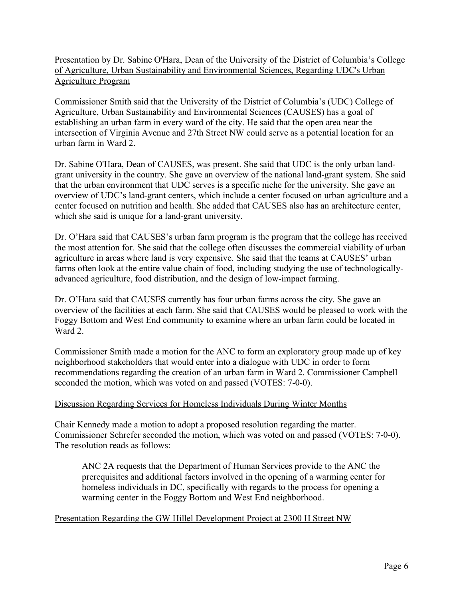Presentation by Dr. Sabine O'Hara, Dean of the University of the District of Columbia's College of Agriculture, Urban Sustainability and Environmental Sciences, Regarding UDC's Urban Agriculture Program

Commissioner Smith said that the University of the District of Columbia's (UDC) College of Agriculture, Urban Sustainability and Environmental Sciences (CAUSES) has a goal of establishing an urban farm in every ward of the city. He said that the open area near the intersection of Virginia Avenue and 27th Street NW could serve as a potential location for an urban farm in Ward 2.

Dr. Sabine O'Hara, Dean of CAUSES, was present. She said that UDC is the only urban landgrant university in the country. She gave an overview of the national land-grant system. She said that the urban environment that UDC serves is a specific niche for the university. She gave an overview of UDC's land-grant centers, which include a center focused on urban agriculture and a center focused on nutrition and health. She added that CAUSES also has an architecture center, which she said is unique for a land-grant university.

Dr. O'Hara said that CAUSES's urban farm program is the program that the college has received the most attention for. She said that the college often discusses the commercial viability of urban agriculture in areas where land is very expensive. She said that the teams at CAUSES' urban farms often look at the entire value chain of food, including studying the use of technologicallyadvanced agriculture, food distribution, and the design of low-impact farming.

Dr. O'Hara said that CAUSES currently has four urban farms across the city. She gave an overview of the facilities at each farm. She said that CAUSES would be pleased to work with the Foggy Bottom and West End community to examine where an urban farm could be located in Ward 2.

Commissioner Smith made a motion for the ANC to form an exploratory group made up of key neighborhood stakeholders that would enter into a dialogue with UDC in order to form recommendations regarding the creation of an urban farm in Ward 2. Commissioner Campbell seconded the motion, which was voted on and passed (VOTES: 7-0-0).

## Discussion Regarding Services for Homeless Individuals During Winter Months

Chair Kennedy made a motion to adopt a proposed resolution regarding the matter. Commissioner Schrefer seconded the motion, which was voted on and passed (VOTES: 7-0-0). The resolution reads as follows:

ANC 2A requests that the Department of Human Services provide to the ANC the prerequisites and additional factors involved in the opening of a warming center for homeless individuals in DC, specifically with regards to the process for opening a warming center in the Foggy Bottom and West End neighborhood.

## Presentation Regarding the GW Hillel Development Project at 2300 H Street NW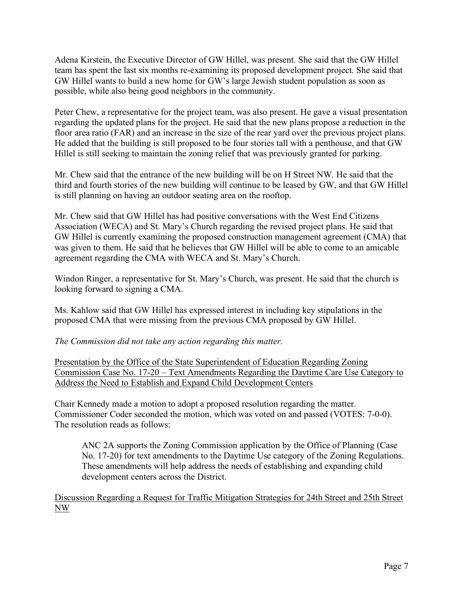Adena Kirstein, the Executive Director of GW Hillel, was present. She said that the GW Hillel team has spent the last six months re-examining its proposed development project. She said that GW Hillel wants to build a new home for GW's large Jewish student population as soon as possible, while also being good neighbors in the community.

Peter Chew, a representative for the project team, was also present. He gave a visual presentation regarding the updated plans for the project. He said that the new plans propose a reduction in the floor area ratio (FAR) and an increase in the size of the rear yard over the previous project plans. He added that the building is still proposed to be four stories tall with a penthouse, and that GW Hillel is still seeking to maintain the zoning relief that was previously granted for parking.

Mr. Chew said that the entrance of the new building will be on H Street NW. He said that the third and fourth stories of the new building will continue to be leased by GW, and that GW Hillel is still planning on having an outdoor seating area on the rooftop.

Mr. Chew said that GW Hillel has had positive conversations with the West End Citizens Association (WECA) and St. Mary's Church regarding the revised project plans. He said that GW Hillel is currently examining the proposed construction management agreement (CMA) that was given to them. He said that he believes that GW Hillel will be able to come to an amicable agreement regarding the CMA with WECA and St. Mary's Church.

Windon Ringer, a representative for St. Mary's Church, was present. He said that the church is looking forward to signing a CMA.

Ms. Kahlow said that GW Hillel has expressed interest in including key stipulations in the proposed CMA that were missing from the previous CMA proposed by GW Hillel.

*The Commission did not take any action regarding this matter.*

Presentation by the Office of the State Superintendent of Education Regarding Zoning Commission Case No. 17-20 – Text Amendments Regarding the Daytime Care Use Category to Address the Need to Establish and Expand Child Development Centers

Chair Kennedy made a motion to adopt a proposed resolution regarding the matter. Commissioner Coder seconded the motion, which was voted on and passed (VOTES: 7-0-0). The resolution reads as follows:

ANC 2A supports the Zoning Commission application by the Office of Planning (Case No. 17-20) for text amendments to the Daytime Use category of the Zoning Regulations. These amendments will help address the needs of establishing and expanding child development centers across the District.

Discussion Regarding a Request for Traffic Mitigation Strategies for 24th Street and 25th Street NW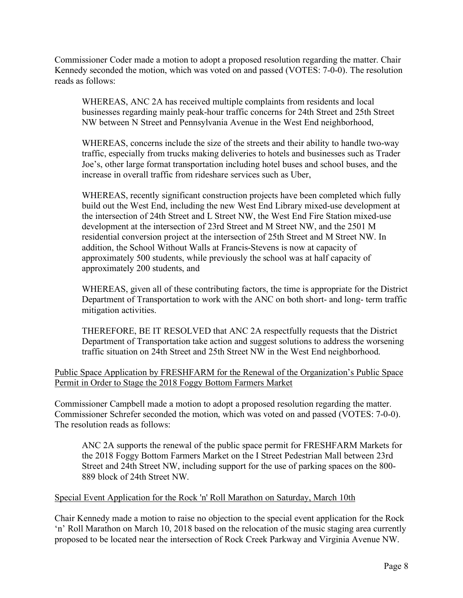Commissioner Coder made a motion to adopt a proposed resolution regarding the matter. Chair Kennedy seconded the motion, which was voted on and passed (VOTES: 7-0-0). The resolution reads as follows:

WHEREAS, ANC 2A has received multiple complaints from residents and local businesses regarding mainly peak-hour traffic concerns for 24th Street and 25th Street NW between N Street and Pennsylvania Avenue in the West End neighborhood,

WHEREAS, concerns include the size of the streets and their ability to handle two-way traffic, especially from trucks making deliveries to hotels and businesses such as Trader Joe's, other large format transportation including hotel buses and school buses, and the increase in overall traffic from rideshare services such as Uber,

WHEREAS, recently significant construction projects have been completed which fully build out the West End, including the new West End Library mixed-use development at the intersection of 24th Street and L Street NW, the West End Fire Station mixed-use development at the intersection of 23rd Street and M Street NW, and the 2501 M residential conversion project at the intersection of 25th Street and M Street NW. In addition, the School Without Walls at Francis-Stevens is now at capacity of approximately 500 students, while previously the school was at half capacity of approximately 200 students, and

WHEREAS, given all of these contributing factors, the time is appropriate for the District Department of Transportation to work with the ANC on both short- and long- term traffic mitigation activities.

THEREFORE, BE IT RESOLVED that ANC 2A respectfully requests that the District Department of Transportation take action and suggest solutions to address the worsening traffic situation on 24th Street and 25th Street NW in the West End neighborhood.

Public Space Application by FRESHFARM for the Renewal of the Organization's Public Space Permit in Order to Stage the 2018 Foggy Bottom Farmers Market

Commissioner Campbell made a motion to adopt a proposed resolution regarding the matter. Commissioner Schrefer seconded the motion, which was voted on and passed (VOTES: 7-0-0). The resolution reads as follows:

ANC 2A supports the renewal of the public space permit for FRESHFARM Markets for the 2018 Foggy Bottom Farmers Market on the I Street Pedestrian Mall between 23rd Street and 24th Street NW, including support for the use of parking spaces on the 800- 889 block of 24th Street NW.

## Special Event Application for the Rock 'n' Roll Marathon on Saturday, March 10th

Chair Kennedy made a motion to raise no objection to the special event application for the Rock 'n' Roll Marathon on March 10, 2018 based on the relocation of the music staging area currently proposed to be located near the intersection of Rock Creek Parkway and Virginia Avenue NW.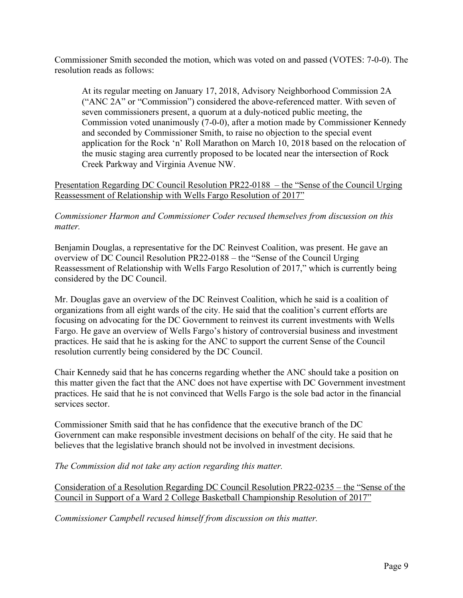Commissioner Smith seconded the motion, which was voted on and passed (VOTES: 7-0-0). The resolution reads as follows:

At its regular meeting on January 17, 2018, Advisory Neighborhood Commission 2A ("ANC 2A" or "Commission") considered the above-referenced matter. With seven of seven commissioners present, a quorum at a duly-noticed public meeting, the Commission voted unanimously (7-0-0), after a motion made by Commissioner Kennedy and seconded by Commissioner Smith, to raise no objection to the special event application for the Rock 'n' Roll Marathon on March 10, 2018 based on the relocation of the music staging area currently proposed to be located near the intersection of Rock Creek Parkway and Virginia Avenue NW.

Presentation Regarding DC Council Resolution PR22-0188 – the "Sense of the Council Urging Reassessment of Relationship with Wells Fargo Resolution of 2017"

*Commissioner Harmon and Commissioner Coder recused themselves from discussion on this matter.*

Benjamin Douglas, a representative for the DC Reinvest Coalition, was present. He gave an overview of DC Council Resolution PR22-0188 – the "Sense of the Council Urging Reassessment of Relationship with Wells Fargo Resolution of 2017," which is currently being considered by the DC Council.

Mr. Douglas gave an overview of the DC Reinvest Coalition, which he said is a coalition of organizations from all eight wards of the city. He said that the coalition's current efforts are focusing on advocating for the DC Government to reinvest its current investments with Wells Fargo. He gave an overview of Wells Fargo's history of controversial business and investment practices. He said that he is asking for the ANC to support the current Sense of the Council resolution currently being considered by the DC Council.

Chair Kennedy said that he has concerns regarding whether the ANC should take a position on this matter given the fact that the ANC does not have expertise with DC Government investment practices. He said that he is not convinced that Wells Fargo is the sole bad actor in the financial services sector

Commissioner Smith said that he has confidence that the executive branch of the DC Government can make responsible investment decisions on behalf of the city. He said that he believes that the legislative branch should not be involved in investment decisions.

*The Commission did not take any action regarding this matter.*

Consideration of a Resolution Regarding DC Council Resolution PR22-0235 – the "Sense of the Council in Support of a Ward 2 College Basketball Championship Resolution of 2017"

*Commissioner Campbell recused himself from discussion on this matter.*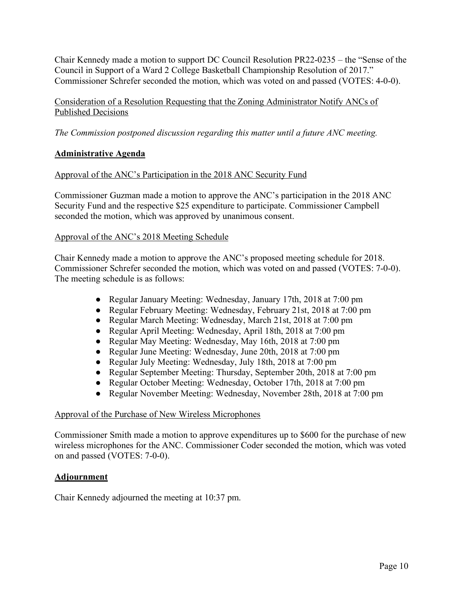Chair Kennedy made a motion to support DC Council Resolution PR22-0235 – the "Sense of the Council in Support of a Ward 2 College Basketball Championship Resolution of 2017." Commissioner Schrefer seconded the motion, which was voted on and passed (VOTES: 4-0-0).

Consideration of a Resolution Requesting that the Zoning Administrator Notify ANCs of Published Decisions

*The Commission postponed discussion regarding this matter until a future ANC meeting.*

# **Administrative Agenda**

## Approval of the ANC's Participation in the 2018 ANC Security Fund

Commissioner Guzman made a motion to approve the ANC's participation in the 2018 ANC Security Fund and the respective \$25 expenditure to participate. Commissioner Campbell seconded the motion, which was approved by unanimous consent.

### Approval of the ANC's 2018 Meeting Schedule

Chair Kennedy made a motion to approve the ANC's proposed meeting schedule for 2018. Commissioner Schrefer seconded the motion, which was voted on and passed (VOTES: 7-0-0). The meeting schedule is as follows:

- Regular January Meeting: Wednesday, January 17th, 2018 at 7:00 pm
- Regular February Meeting: Wednesday, February 21st, 2018 at 7:00 pm
- Regular March Meeting: Wednesday, March 21st, 2018 at 7:00 pm
- Regular April Meeting: Wednesday, April 18th, 2018 at 7:00 pm
- Regular May Meeting: Wednesday, May 16th, 2018 at 7:00 pm
- Regular June Meeting: Wednesday, June 20th, 2018 at 7:00 pm
- Regular July Meeting: Wednesday, July 18th, 2018 at 7:00 pm
- Regular September Meeting: Thursday, September 20th, 2018 at 7:00 pm
- Regular October Meeting: Wednesday, October 17th, 2018 at 7:00 pm
- Regular November Meeting: Wednesday, November 28th, 2018 at 7:00 pm

## Approval of the Purchase of New Wireless Microphones

Commissioner Smith made a motion to approve expenditures up to \$600 for the purchase of new wireless microphones for the ANC. Commissioner Coder seconded the motion, which was voted on and passed (VOTES: 7-0-0).

## **Adjournment**

Chair Kennedy adjourned the meeting at 10:37 pm.